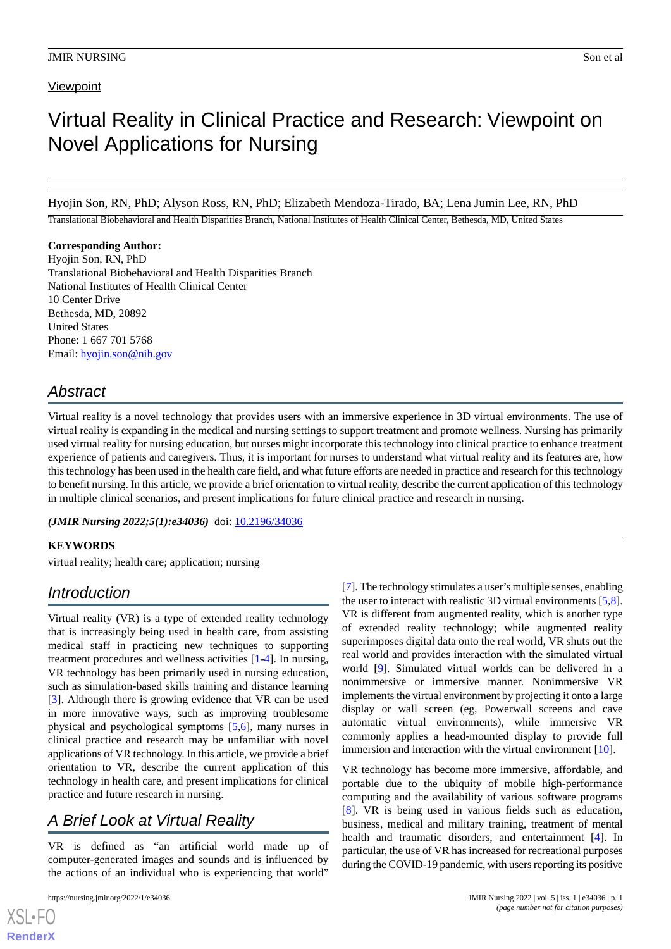# **Viewpoint**

# Virtual Reality in Clinical Practice and Research: Viewpoint on Novel Applications for Nursing

Hyojin Son, RN, PhD; Alyson Ross, RN, PhD; Elizabeth Mendoza-Tirado, BA; Lena Jumin Lee, RN, PhD

Translational Biobehavioral and Health Disparities Branch, National Institutes of Health Clinical Center, Bethesda, MD, United States

#### **Corresponding Author:**

Hyojin Son, RN, PhD Translational Biobehavioral and Health Disparities Branch National Institutes of Health Clinical Center 10 Center Drive Bethesda, MD, 20892 United States Phone: 1 667 701 5768 Email: [hyojin.son@nih.gov](mailto:hyojin.son@nih.gov)

# *Abstract*

Virtual reality is a novel technology that provides users with an immersive experience in 3D virtual environments. The use of virtual reality is expanding in the medical and nursing settings to support treatment and promote wellness. Nursing has primarily used virtual reality for nursing education, but nurses might incorporate this technology into clinical practice to enhance treatment experience of patients and caregivers. Thus, it is important for nurses to understand what virtual reality and its features are, how this technology has been used in the health care field, and what future efforts are needed in practice and research for this technology to benefit nursing. In this article, we provide a brief orientation to virtual reality, describe the current application of this technology in multiple clinical scenarios, and present implications for future clinical practice and research in nursing.

(JMIR Nursing 2022;5(1):e34036) doi: [10.2196/34036](http://dx.doi.org/10.2196/34036)

# **KEYWORDS**

virtual reality; health care; application; nursing

# *Introduction*

Virtual reality (VR) is a type of extended reality technology that is increasingly being used in health care, from assisting medical staff in practicing new techniques to supporting treatment procedures and wellness activities [\[1](#page-3-0)[-4](#page-4-0)]. In nursing, VR technology has been primarily used in nursing education, such as simulation-based skills training and distance learning [[3\]](#page-4-1). Although there is growing evidence that VR can be used in more innovative ways, such as improving troublesome physical and psychological symptoms [\[5](#page-4-2),[6](#page-4-3)], many nurses in clinical practice and research may be unfamiliar with novel applications of VR technology. In this article, we provide a brief orientation to VR, describe the current application of this technology in health care, and present implications for clinical practice and future research in nursing.

# *A Brief Look at Virtual Reality*

VR is defined as "an artificial world made up of computer-generated images and sounds and is influenced by the actions of an individual who is experiencing that world"

```
https://nursing.jmir.org/2022/1/e34036 JMIR Nursing 2022 | vol. 5 | iss. 1 | e34036 | p. 1
```
[XSL](http://www.w3.org/Style/XSL)•FO **[RenderX](http://www.renderx.com/)**

[[7\]](#page-4-4). The technology stimulates a user's multiple senses, enabling the user to interact with realistic 3D virtual environments [\[5](#page-4-2),[8\]](#page-4-5). VR is different from augmented reality, which is another type of extended reality technology; while augmented reality superimposes digital data onto the real world, VR shuts out the real world and provides interaction with the simulated virtual world [\[9](#page-4-6)]. Simulated virtual worlds can be delivered in a nonimmersive or immersive manner. Nonimmersive VR implements the virtual environment by projecting it onto a large display or wall screen (eg, Powerwall screens and cave automatic virtual environments), while immersive VR commonly applies a head-mounted display to provide full immersion and interaction with the virtual environment [[10\]](#page-4-7).

VR technology has become more immersive, affordable, and portable due to the ubiquity of mobile high-performance computing and the availability of various software programs [[8\]](#page-4-5). VR is being used in various fields such as education, business, medical and military training, treatment of mental health and traumatic disorders, and entertainment [[4\]](#page-4-0). In particular, the use of VR has increased for recreational purposes during the COVID-19 pandemic, with users reporting its positive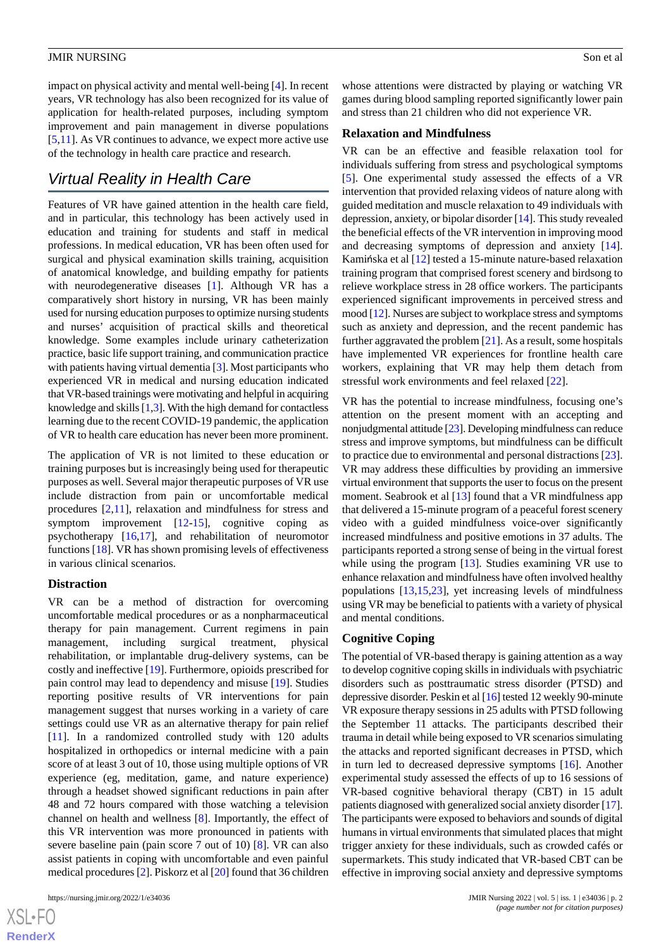impact on physical activity and mental well-being [\[4](#page-4-0)]. In recent years, VR technology has also been recognized for its value of application for health-related purposes, including symptom improvement and pain management in diverse populations [[5](#page-4-2)[,11](#page-4-8)]. As VR continues to advance, we expect more active use of the technology in health care practice and research.

# *Virtual Reality in Health Care*

Features of VR have gained attention in the health care field, and in particular, this technology has been actively used in education and training for students and staff in medical professions. In medical education, VR has been often used for surgical and physical examination skills training, acquisition of anatomical knowledge, and building empathy for patients with neurodegenerative diseases [[1\]](#page-3-0). Although VR has a comparatively short history in nursing, VR has been mainly used for nursing education purposes to optimize nursing students and nurses' acquisition of practical skills and theoretical knowledge. Some examples include urinary catheterization practice, basic life support training, and communication practice with patients having virtual dementia [\[3\]](#page-4-1). Most participants who experienced VR in medical and nursing education indicated that VR-based trainings were motivating and helpful in acquiring knowledge and skills [[1,](#page-3-0)[3\]](#page-4-1). With the high demand for contactless learning due to the recent COVID-19 pandemic, the application of VR to health care education has never been more prominent.

The application of VR is not limited to these education or training purposes but is increasingly being used for therapeutic purposes as well. Several major therapeutic purposes of VR use include distraction from pain or uncomfortable medical procedures [[2,](#page-4-9)[11](#page-4-8)], relaxation and mindfulness for stress and symptom improvement [[12-](#page-4-10)[15](#page-4-11)], cognitive coping as psychotherapy [\[16](#page-4-12),[17\]](#page-4-13), and rehabilitation of neuromotor functions [\[18](#page-4-14)]. VR has shown promising levels of effectiveness in various clinical scenarios.

## **Distraction**

VR can be a method of distraction for overcoming uncomfortable medical procedures or as a nonpharmaceutical therapy for pain management. Current regimens in pain management, including surgical treatment, physical rehabilitation, or implantable drug-delivery systems, can be costly and ineffective [\[19](#page-4-15)]. Furthermore, opioids prescribed for pain control may lead to dependency and misuse [[19\]](#page-4-15). Studies reporting positive results of VR interventions for pain management suggest that nurses working in a variety of care settings could use VR as an alternative therapy for pain relief [[11\]](#page-4-8). In a randomized controlled study with 120 adults hospitalized in orthopedics or internal medicine with a pain score of at least 3 out of 10, those using multiple options of VR experience (eg, meditation, game, and nature experience) through a headset showed significant reductions in pain after 48 and 72 hours compared with those watching a television channel on health and wellness [\[8](#page-4-5)]. Importantly, the effect of this VR intervention was more pronounced in patients with severe baseline pain (pain score 7 out of 10) [\[8](#page-4-5)]. VR can also assist patients in coping with uncomfortable and even painful medical procedures [\[2\]](#page-4-9). Piskorz et al [\[20](#page-4-16)] found that 36 children

 $XS$  • FO **[RenderX](http://www.renderx.com/)** whose attentions were distracted by playing or watching VR games during blood sampling reported significantly lower pain and stress than 21 children who did not experience VR.

#### **Relaxation and Mindfulness**

VR can be an effective and feasible relaxation tool for individuals suffering from stress and psychological symptoms [[5\]](#page-4-2). One experimental study assessed the effects of a VR intervention that provided relaxing videos of nature along with guided meditation and muscle relaxation to 49 individuals with depression, anxiety, or bipolar disorder [[14\]](#page-4-17). This study revealed the beneficial effects of the VR intervention in improving mood and decreasing symptoms of depression and anxiety [[14\]](#page-4-17). Kamińska et al [\[12](#page-4-10)] tested a 15-minute nature-based relaxation training program that comprised forest scenery and birdsong to relieve workplace stress in 28 office workers. The participants experienced significant improvements in perceived stress and mood [\[12\]](#page-4-10). Nurses are subject to workplace stress and symptoms such as anxiety and depression, and the recent pandemic has further aggravated the problem [[21\]](#page-4-18). As a result, some hospitals have implemented VR experiences for frontline health care workers, explaining that VR may help them detach from stressful work environments and feel relaxed [\[22](#page-4-19)].

VR has the potential to increase mindfulness, focusing one's attention on the present moment with an accepting and nonjudgmental attitude [\[23\]](#page-5-0). Developing mindfulness can reduce stress and improve symptoms, but mindfulness can be difficult to practice due to environmental and personal distractions [[23\]](#page-5-0). VR may address these difficulties by providing an immersive virtual environment that supports the user to focus on the present moment. Seabrook et al [\[13](#page-4-20)] found that a VR mindfulness app that delivered a 15-minute program of a peaceful forest scenery video with a guided mindfulness voice-over significantly increased mindfulness and positive emotions in 37 adults. The participants reported a strong sense of being in the virtual forest while using the program [[13\]](#page-4-20). Studies examining VR use to enhance relaxation and mindfulness have often involved healthy populations [[13](#page-4-20)[,15](#page-4-11),[23\]](#page-5-0), yet increasing levels of mindfulness using VR may be beneficial to patients with a variety of physical and mental conditions.

## **Cognitive Coping**

The potential of VR-based therapy is gaining attention as a way to develop cognitive coping skills in individuals with psychiatric disorders such as posttraumatic stress disorder (PTSD) and depressive disorder. Peskin et al [\[16\]](#page-4-12) tested 12 weekly 90-minute VR exposure therapy sessions in 25 adults with PTSD following the September 11 attacks. The participants described their trauma in detail while being exposed to VR scenarios simulating the attacks and reported significant decreases in PTSD, which in turn led to decreased depressive symptoms [\[16](#page-4-12)]. Another experimental study assessed the effects of up to 16 sessions of VR-based cognitive behavioral therapy (CBT) in 15 adult patients diagnosed with generalized social anxiety disorder [\[17](#page-4-13)]. The participants were exposed to behaviors and sounds of digital humans in virtual environments that simulated places that might trigger anxiety for these individuals, such as crowded cafés or supermarkets. This study indicated that VR-based CBT can be effective in improving social anxiety and depressive symptoms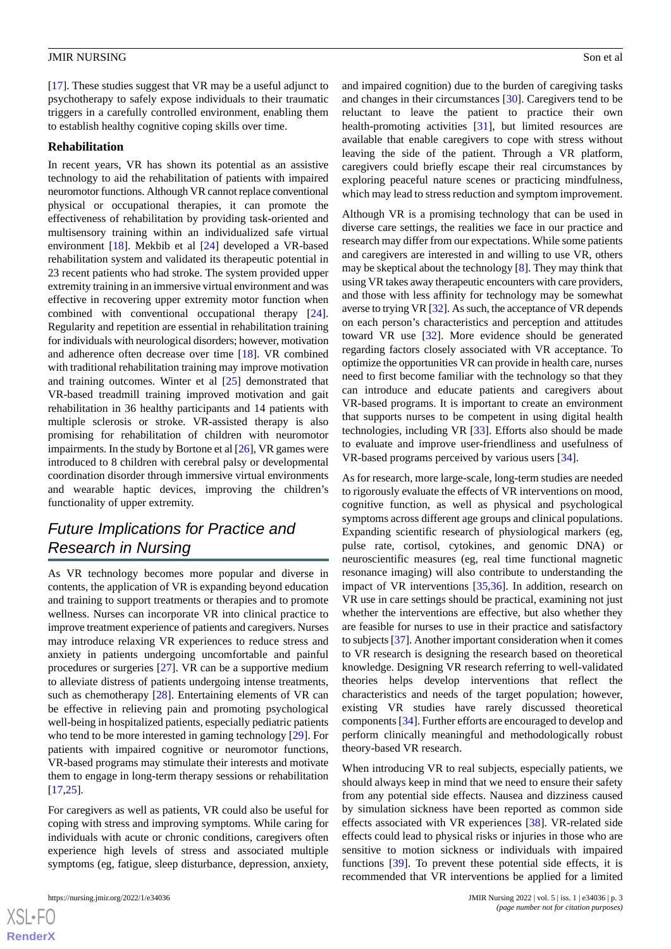[[17\]](#page-4-13). These studies suggest that VR may be a useful adjunct to psychotherapy to safely expose individuals to their traumatic triggers in a carefully controlled environment, enabling them to establish healthy cognitive coping skills over time.

#### **Rehabilitation**

In recent years, VR has shown its potential as an assistive technology to aid the rehabilitation of patients with impaired neuromotor functions. Although VR cannot replace conventional physical or occupational therapies, it can promote the effectiveness of rehabilitation by providing task-oriented and multisensory training within an individualized safe virtual environment [\[18](#page-4-14)]. Mekbib et al [\[24](#page-5-1)] developed a VR-based rehabilitation system and validated its therapeutic potential in 23 recent patients who had stroke. The system provided upper extremity training in an immersive virtual environment and was effective in recovering upper extremity motor function when combined with conventional occupational therapy [[24\]](#page-5-1). Regularity and repetition are essential in rehabilitation training for individuals with neurological disorders; however, motivation and adherence often decrease over time [[18\]](#page-4-14). VR combined with traditional rehabilitation training may improve motivation and training outcomes. Winter et al [[25\]](#page-5-2) demonstrated that VR-based treadmill training improved motivation and gait rehabilitation in 36 healthy participants and 14 patients with multiple sclerosis or stroke. VR-assisted therapy is also promising for rehabilitation of children with neuromotor impairments. In the study by Bortone et al [[26\]](#page-5-3), VR games were introduced to 8 children with cerebral palsy or developmental coordination disorder through immersive virtual environments and wearable haptic devices, improving the children's functionality of upper extremity.

# *Future Implications for Practice and Research in Nursing*

As VR technology becomes more popular and diverse in contents, the application of VR is expanding beyond education and training to support treatments or therapies and to promote wellness. Nurses can incorporate VR into clinical practice to improve treatment experience of patients and caregivers. Nurses may introduce relaxing VR experiences to reduce stress and anxiety in patients undergoing uncomfortable and painful procedures or surgeries [\[27](#page-5-4)]. VR can be a supportive medium to alleviate distress of patients undergoing intense treatments, such as chemotherapy [[28\]](#page-5-5). Entertaining elements of VR can be effective in relieving pain and promoting psychological well-being in hospitalized patients, especially pediatric patients who tend to be more interested in gaming technology [[29\]](#page-5-6). For patients with impaired cognitive or neuromotor functions, VR-based programs may stimulate their interests and motivate them to engage in long-term therapy sessions or rehabilitation [[17](#page-4-13)[,25](#page-5-2)].

For caregivers as well as patients, VR could also be useful for coping with stress and improving symptoms. While caring for individuals with acute or chronic conditions, caregivers often experience high levels of stress and associated multiple symptoms (eg, fatigue, sleep disturbance, depression, anxiety,

and impaired cognition) due to the burden of caregiving tasks and changes in their circumstances [\[30](#page-5-7)]. Caregivers tend to be reluctant to leave the patient to practice their own health-promoting activities [[31\]](#page-5-8), but limited resources are available that enable caregivers to cope with stress without leaving the side of the patient. Through a VR platform, caregivers could briefly escape their real circumstances by exploring peaceful nature scenes or practicing mindfulness, which may lead to stress reduction and symptom improvement.

Although VR is a promising technology that can be used in diverse care settings, the realities we face in our practice and research may differ from our expectations. While some patients and caregivers are interested in and willing to use VR, others may be skeptical about the technology [\[8](#page-4-5)]. They may think that using VR takes away therapeutic encounters with care providers, and those with less affinity for technology may be somewhat averse to trying VR [[32\]](#page-5-9). As such, the acceptance of VR depends on each person's characteristics and perception and attitudes toward VR use [[32\]](#page-5-9). More evidence should be generated regarding factors closely associated with VR acceptance. To optimize the opportunities VR can provide in health care, nurses need to first become familiar with the technology so that they can introduce and educate patients and caregivers about VR-based programs. It is important to create an environment that supports nurses to be competent in using digital health technologies, including VR [[33\]](#page-5-10). Efforts also should be made to evaluate and improve user-friendliness and usefulness of VR-based programs perceived by various users [[34\]](#page-5-11).

As for research, more large-scale, long-term studies are needed to rigorously evaluate the effects of VR interventions on mood, cognitive function, as well as physical and psychological symptoms across different age groups and clinical populations. Expanding scientific research of physiological markers (eg, pulse rate, cortisol, cytokines, and genomic DNA) or neuroscientific measures (eg, real time functional magnetic resonance imaging) will also contribute to understanding the impact of VR interventions [[35,](#page-5-12)[36\]](#page-5-13). In addition, research on VR use in care settings should be practical, examining not just whether the interventions are effective, but also whether they are feasible for nurses to use in their practice and satisfactory to subjects [\[37\]](#page-5-14). Another important consideration when it comes to VR research is designing the research based on theoretical knowledge. Designing VR research referring to well-validated theories helps develop interventions that reflect the characteristics and needs of the target population; however, existing VR studies have rarely discussed theoretical components [\[34](#page-5-11)]. Further efforts are encouraged to develop and perform clinically meaningful and methodologically robust theory-based VR research.

When introducing VR to real subjects, especially patients, we should always keep in mind that we need to ensure their safety from any potential side effects. Nausea and dizziness caused by simulation sickness have been reported as common side effects associated with VR experiences [[38\]](#page-5-15). VR-related side effects could lead to physical risks or injuries in those who are sensitive to motion sickness or individuals with impaired functions [[39\]](#page-5-16). To prevent these potential side effects, it is recommended that VR interventions be applied for a limited

[XSL](http://www.w3.org/Style/XSL)•FO **[RenderX](http://www.renderx.com/)**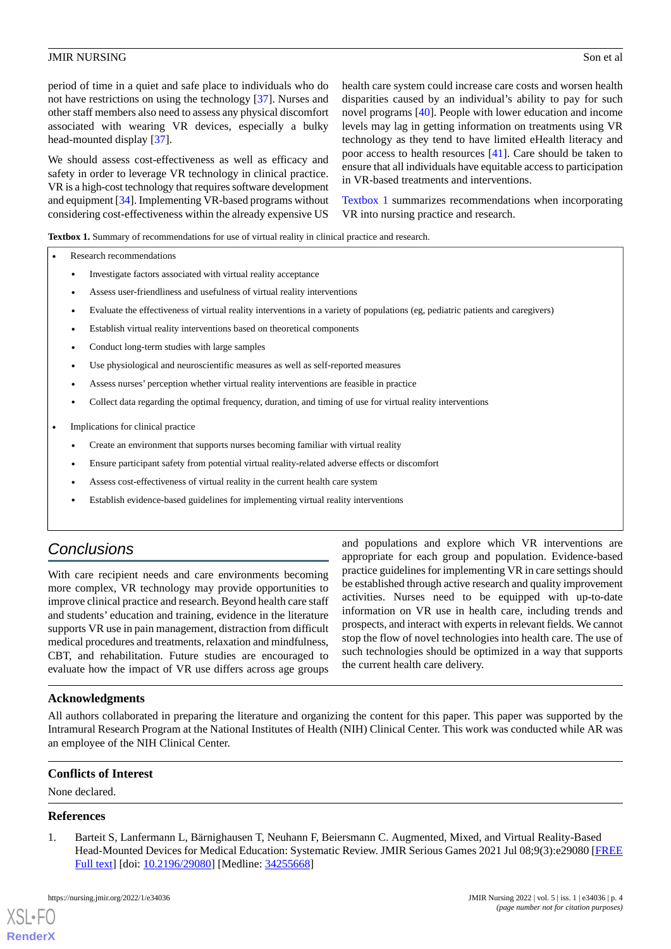period of time in a quiet and safe place to individuals who do not have restrictions on using the technology [\[37](#page-5-14)]. Nurses and other staff members also need to assess any physical discomfort associated with wearing VR devices, especially a bulky head-mounted display [[37\]](#page-5-14).

We should assess cost-effectiveness as well as efficacy and safety in order to leverage VR technology in clinical practice. VR is a high-cost technology that requires software development and equipment [[34\]](#page-5-11). Implementing VR-based programs without considering cost-effectiveness within the already expensive US

health care system could increase care costs and worsen health disparities caused by an individual's ability to pay for such novel programs [[40\]](#page-5-17). People with lower education and income levels may lag in getting information on treatments using VR technology as they tend to have limited eHealth literacy and poor access to health resources [[41\]](#page-5-18). Care should be taken to ensure that all individuals have equitable access to participation in VR-based treatments and interventions.

[Textbox 1](#page-3-1) summarizes recommendations when incorporating VR into nursing practice and research.

<span id="page-3-1"></span>**Textbox 1.** Summary of recommendations for use of virtual reality in clinical practice and research.

- Research recommendations
	- Investigate factors associated with virtual reality acceptance
	- Assess user-friendliness and usefulness of virtual reality interventions
	- Evaluate the effectiveness of virtual reality interventions in a variety of populations (eg, pediatric patients and caregivers)
	- Establish virtual reality interventions based on theoretical components
	- Conduct long-term studies with large samples
	- Use physiological and neuroscientific measures as well as self-reported measures
	- Assess nurses' perception whether virtual reality interventions are feasible in practice
	- Collect data regarding the optimal frequency, duration, and timing of use for virtual reality interventions
- Implications for clinical practice
	- Create an environment that supports nurses becoming familiar with virtual reality
	- Ensure participant safety from potential virtual reality-related adverse effects or discomfort
	- Assess cost-effectiveness of virtual reality in the current health care system
	- Establish evidence-based guidelines for implementing virtual reality interventions

# *Conclusions*

With care recipient needs and care environments becoming more complex, VR technology may provide opportunities to improve clinical practice and research. Beyond health care staff and students' education and training, evidence in the literature supports VR use in pain management, distraction from difficult medical procedures and treatments, relaxation and mindfulness, CBT, and rehabilitation. Future studies are encouraged to evaluate how the impact of VR use differs across age groups

and populations and explore which VR interventions are appropriate for each group and population. Evidence-based practice guidelines for implementing VR in care settings should be established through active research and quality improvement activities. Nurses need to be equipped with up-to-date information on VR use in health care, including trends and prospects, and interact with experts in relevant fields. We cannot stop the flow of novel technologies into health care. The use of such technologies should be optimized in a way that supports the current health care delivery.

## **Acknowledgments**

All authors collaborated in preparing the literature and organizing the content for this paper. This paper was supported by the Intramural Research Program at the National Institutes of Health (NIH) Clinical Center. This work was conducted while AR was an employee of the NIH Clinical Center.

## <span id="page-3-0"></span>**Conflicts of Interest**

None declared.

## **References**

[XSL](http://www.w3.org/Style/XSL)•FO **[RenderX](http://www.renderx.com/)**

1. Barteit S, Lanfermann L, Bärnighausen T, Neuhann F, Beiersmann C. Augmented, Mixed, and Virtual Reality-Based Head-Mounted Devices for Medical Education: Systematic Review. JMIR Serious Games 2021 Jul 08;9(3):e29080 [\[FREE](https://games.jmir.org/2021/3/e29080/) [Full text\]](https://games.jmir.org/2021/3/e29080/) [doi: [10.2196/29080\]](http://dx.doi.org/10.2196/29080) [Medline: [34255668](http://www.ncbi.nlm.nih.gov/entrez/query.fcgi?cmd=Retrieve&db=PubMed&list_uids=34255668&dopt=Abstract)]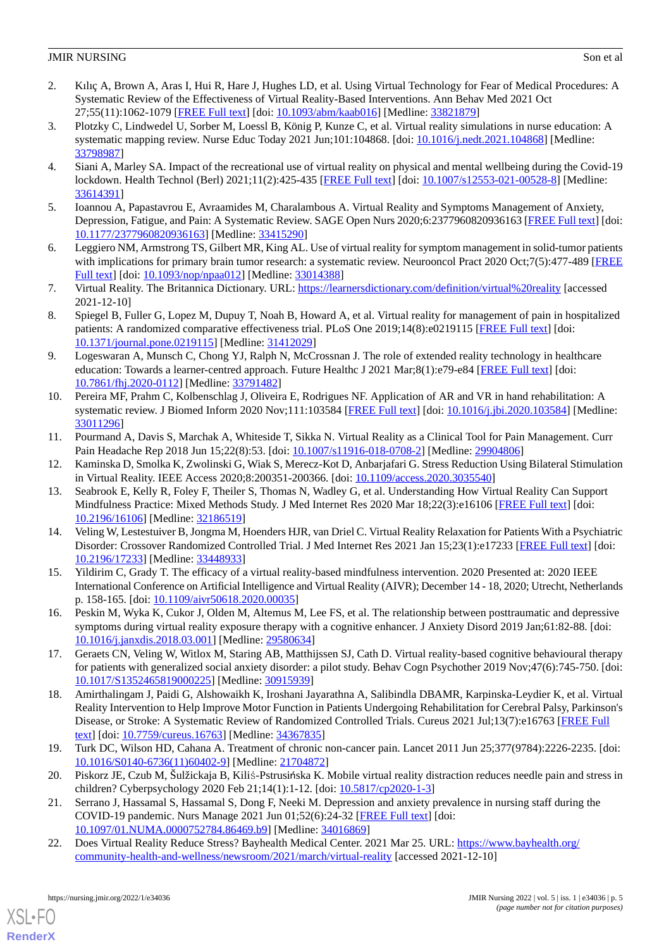- <span id="page-4-9"></span>2. Kılıç A, Brown A, Aras I, Hui R, Hare J, Hughes LD, et al. Using Virtual Technology for Fear of Medical Procedures: A Systematic Review of the Effectiveness of Virtual Reality-Based Interventions. Ann Behav Med 2021 Oct 27;55(11):1062-1079 [[FREE Full text](http://europepmc.org/abstract/MED/33821879)] [doi: [10.1093/abm/kaab016\]](http://dx.doi.org/10.1093/abm/kaab016) [Medline: [33821879](http://www.ncbi.nlm.nih.gov/entrez/query.fcgi?cmd=Retrieve&db=PubMed&list_uids=33821879&dopt=Abstract)]
- <span id="page-4-1"></span>3. Plotzky C, Lindwedel U, Sorber M, Loessl B, König P, Kunze C, et al. Virtual reality simulations in nurse education: A systematic mapping review. Nurse Educ Today 2021 Jun;101:104868. [doi: [10.1016/j.nedt.2021.104868\]](http://dx.doi.org/10.1016/j.nedt.2021.104868) [Medline: [33798987](http://www.ncbi.nlm.nih.gov/entrez/query.fcgi?cmd=Retrieve&db=PubMed&list_uids=33798987&dopt=Abstract)]
- <span id="page-4-0"></span>4. Siani A, Marley SA. Impact of the recreational use of virtual reality on physical and mental wellbeing during the Covid-19 lockdown. Health Technol (Berl) 2021;11(2):425-435 [\[FREE Full text\]](http://europepmc.org/abstract/MED/33614391) [doi: [10.1007/s12553-021-00528-8](http://dx.doi.org/10.1007/s12553-021-00528-8)] [Medline: [33614391](http://www.ncbi.nlm.nih.gov/entrez/query.fcgi?cmd=Retrieve&db=PubMed&list_uids=33614391&dopt=Abstract)]
- <span id="page-4-3"></span><span id="page-4-2"></span>5. Ioannou A, Papastavrou E, Avraamides M, Charalambous A. Virtual Reality and Symptoms Management of Anxiety, Depression, Fatigue, and Pain: A Systematic Review. SAGE Open Nurs 2020;6:2377960820936163 [[FREE Full text](https://journals.sagepub.com/doi/10.1177/2377960820936163?url_ver=Z39.88-2003&rfr_id=ori:rid:crossref.org&rfr_dat=cr_pub%3dpubmed)] [doi: [10.1177/2377960820936163\]](http://dx.doi.org/10.1177/2377960820936163) [Medline: [33415290\]](http://www.ncbi.nlm.nih.gov/entrez/query.fcgi?cmd=Retrieve&db=PubMed&list_uids=33415290&dopt=Abstract)
- <span id="page-4-4"></span>6. Leggiero NM, Armstrong TS, Gilbert MR, King AL. Use of virtual reality for symptom management in solid-tumor patients with implications for primary brain tumor research: a systematic review. Neurooncol Pract 2020 Oct;7(5):477-489 [\[FREE](http://europepmc.org/abstract/MED/33014388) [Full text\]](http://europepmc.org/abstract/MED/33014388) [doi: [10.1093/nop/npaa012](http://dx.doi.org/10.1093/nop/npaa012)] [Medline: [33014388\]](http://www.ncbi.nlm.nih.gov/entrez/query.fcgi?cmd=Retrieve&db=PubMed&list_uids=33014388&dopt=Abstract)
- <span id="page-4-5"></span>7. Virtual Reality. The Britannica Dictionary. URL: <https://learnersdictionary.com/definition/virtual%20reality> [accessed 2021-12-10]
- <span id="page-4-6"></span>8. Spiegel B, Fuller G, Lopez M, Dupuy T, Noah B, Howard A, et al. Virtual reality for management of pain in hospitalized patients: A randomized comparative effectiveness trial. PLoS One 2019;14(8):e0219115 [\[FREE Full text\]](https://dx.plos.org/10.1371/journal.pone.0219115) [doi: [10.1371/journal.pone.0219115\]](http://dx.doi.org/10.1371/journal.pone.0219115) [Medline: [31412029](http://www.ncbi.nlm.nih.gov/entrez/query.fcgi?cmd=Retrieve&db=PubMed&list_uids=31412029&dopt=Abstract)]
- <span id="page-4-7"></span>9. Logeswaran A, Munsch C, Chong YJ, Ralph N, McCrossnan J. The role of extended reality technology in healthcare education: Towards a learner-centred approach. Future Healthc J 2021 Mar;8(1):e79-e84 [\[FREE Full text\]](http://europepmc.org/abstract/MED/33791482) [doi: [10.7861/fhj.2020-0112\]](http://dx.doi.org/10.7861/fhj.2020-0112) [Medline: [33791482](http://www.ncbi.nlm.nih.gov/entrez/query.fcgi?cmd=Retrieve&db=PubMed&list_uids=33791482&dopt=Abstract)]
- <span id="page-4-8"></span>10. Pereira MF, Prahm C, Kolbenschlag J, Oliveira E, Rodrigues NF. Application of AR and VR in hand rehabilitation: A systematic review. J Biomed Inform 2020 Nov;111:103584 [\[FREE Full text\]](https://linkinghub.elsevier.com/retrieve/pii/S1532-0464(20)30213-6) [doi: [10.1016/j.jbi.2020.103584\]](http://dx.doi.org/10.1016/j.jbi.2020.103584) [Medline: [33011296](http://www.ncbi.nlm.nih.gov/entrez/query.fcgi?cmd=Retrieve&db=PubMed&list_uids=33011296&dopt=Abstract)]
- <span id="page-4-20"></span><span id="page-4-10"></span>11. Pourmand A, Davis S, Marchak A, Whiteside T, Sikka N. Virtual Reality as a Clinical Tool for Pain Management. Curr Pain Headache Rep 2018 Jun 15;22(8):53. [doi: [10.1007/s11916-018-0708-2\]](http://dx.doi.org/10.1007/s11916-018-0708-2) [Medline: [29904806\]](http://www.ncbi.nlm.nih.gov/entrez/query.fcgi?cmd=Retrieve&db=PubMed&list_uids=29904806&dopt=Abstract)
- 12. Kaminska D, Smolka K, Zwolinski G, Wiak S, Merecz-Kot D, Anbarjafari G. Stress Reduction Using Bilateral Stimulation in Virtual Reality. IEEE Access 2020;8:200351-200366. [doi: [10.1109/access.2020.3035540](http://dx.doi.org/10.1109/access.2020.3035540)]
- <span id="page-4-17"></span>13. Seabrook E, Kelly R, Foley F, Theiler S, Thomas N, Wadley G, et al. Understanding How Virtual Reality Can Support Mindfulness Practice: Mixed Methods Study. J Med Internet Res 2020 Mar 18;22(3):e16106 [[FREE Full text](https://www.jmir.org/2020/3/e16106/)] [doi: [10.2196/16106\]](http://dx.doi.org/10.2196/16106) [Medline: [32186519\]](http://www.ncbi.nlm.nih.gov/entrez/query.fcgi?cmd=Retrieve&db=PubMed&list_uids=32186519&dopt=Abstract)
- <span id="page-4-12"></span><span id="page-4-11"></span>14. Veling W, Lestestuiver B, Jongma M, Hoenders HJR, van Driel C. Virtual Reality Relaxation for Patients With a Psychiatric Disorder: Crossover Randomized Controlled Trial. J Med Internet Res 2021 Jan 15;23(1):e17233 [\[FREE Full text\]](https://www.jmir.org/2021/1/e17233/) [doi: [10.2196/17233\]](http://dx.doi.org/10.2196/17233) [Medline: [33448933\]](http://www.ncbi.nlm.nih.gov/entrez/query.fcgi?cmd=Retrieve&db=PubMed&list_uids=33448933&dopt=Abstract)
- <span id="page-4-13"></span>15. Yildirim C, Grady T. The efficacy of a virtual reality-based mindfulness intervention. 2020 Presented at: 2020 IEEE International Conference on Artificial Intelligence and Virtual Reality (AIVR); December 14 - 18, 2020; Utrecht, Netherlands p. 158-165. [doi: [10.1109/aivr50618.2020.00035\]](http://dx.doi.org/10.1109/aivr50618.2020.00035)
- <span id="page-4-14"></span>16. Peskin M, Wyka K, Cukor J, Olden M, Altemus M, Lee FS, et al. The relationship between posttraumatic and depressive symptoms during virtual reality exposure therapy with a cognitive enhancer. J Anxiety Disord 2019 Jan;61:82-88. [doi: [10.1016/j.janxdis.2018.03.001](http://dx.doi.org/10.1016/j.janxdis.2018.03.001)] [Medline: [29580634](http://www.ncbi.nlm.nih.gov/entrez/query.fcgi?cmd=Retrieve&db=PubMed&list_uids=29580634&dopt=Abstract)]
- <span id="page-4-15"></span>17. Geraets CN, Veling W, Witlox M, Staring AB, Matthijssen SJ, Cath D. Virtual reality-based cognitive behavioural therapy for patients with generalized social anxiety disorder: a pilot study. Behav Cogn Psychother 2019 Nov;47(6):745-750. [doi: [10.1017/S1352465819000225](http://dx.doi.org/10.1017/S1352465819000225)] [Medline: [30915939](http://www.ncbi.nlm.nih.gov/entrez/query.fcgi?cmd=Retrieve&db=PubMed&list_uids=30915939&dopt=Abstract)]
- <span id="page-4-16"></span>18. Amirthalingam J, Paidi G, Alshowaikh K, Iroshani Jayarathna A, Salibindla DBAMR, Karpinska-Leydier K, et al. Virtual Reality Intervention to Help Improve Motor Function in Patients Undergoing Rehabilitation for Cerebral Palsy, Parkinson's Disease, or Stroke: A Systematic Review of Randomized Controlled Trials. Cureus 2021 Jul;13(7):e16763 [\[FREE Full](http://europepmc.org/abstract/MED/34367835) [text](http://europepmc.org/abstract/MED/34367835)] [doi: [10.7759/cureus.16763\]](http://dx.doi.org/10.7759/cureus.16763) [Medline: [34367835](http://www.ncbi.nlm.nih.gov/entrez/query.fcgi?cmd=Retrieve&db=PubMed&list_uids=34367835&dopt=Abstract)]
- <span id="page-4-19"></span><span id="page-4-18"></span>19. Turk DC, Wilson HD, Cahana A. Treatment of chronic non-cancer pain. Lancet 2011 Jun 25;377(9784):2226-2235. [doi: [10.1016/S0140-6736\(11\)60402-9\]](http://dx.doi.org/10.1016/S0140-6736(11)60402-9) [Medline: [21704872](http://www.ncbi.nlm.nih.gov/entrez/query.fcgi?cmd=Retrieve&db=PubMed&list_uids=21704872&dopt=Abstract)]
- 20. Piskorz JE, Czub M, Šulžickaja B, Kiliś-Pstrusińska K. Mobile virtual reality distraction reduces needle pain and stress in children? Cyberpsychology 2020 Feb 21;14(1):1-12. [doi: [10.5817/cp2020-1-3\]](http://dx.doi.org/10.5817/cp2020-1-3)
- 21. Serrano J, Hassamal S, Hassamal S, Dong F, Neeki M. Depression and anxiety prevalence in nursing staff during the COVID-19 pandemic. Nurs Manage 2021 Jun 01;52(6):24-32 [\[FREE Full text\]](http://europepmc.org/abstract/MED/34016869) [doi: [10.1097/01.NUMA.0000752784.86469.b9](http://dx.doi.org/10.1097/01.NUMA.0000752784.86469.b9)] [Medline: [34016869](http://www.ncbi.nlm.nih.gov/entrez/query.fcgi?cmd=Retrieve&db=PubMed&list_uids=34016869&dopt=Abstract)]
- 22. Does Virtual Reality Reduce Stress? Bayhealth Medical Center. 2021 Mar 25. URL: [https://www.bayhealth.org/](https://www.bayhealth.org/community-health-and-wellness/newsroom/2021/march/virtual-reality) [community-health-and-wellness/newsroom/2021/march/virtual-reality](https://www.bayhealth.org/community-health-and-wellness/newsroom/2021/march/virtual-reality) [accessed 2021-12-10]

[XSL](http://www.w3.org/Style/XSL)•FO **[RenderX](http://www.renderx.com/)**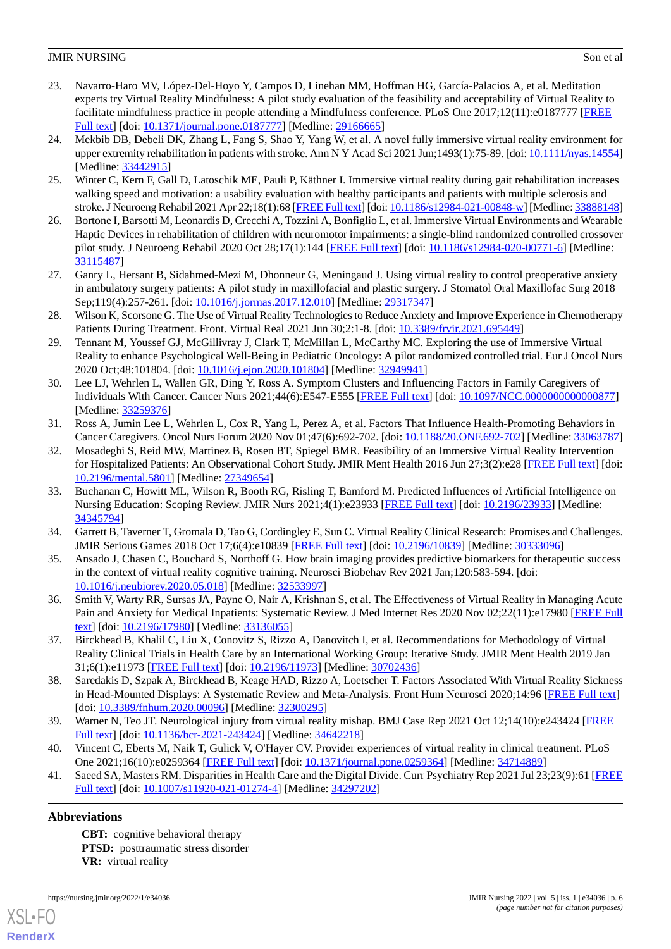- <span id="page-5-0"></span>23. Navarro-Haro MV, López-Del-Hoyo Y, Campos D, Linehan MM, Hoffman HG, García-Palacios A, et al. Meditation experts try Virtual Reality Mindfulness: A pilot study evaluation of the feasibility and acceptability of Virtual Reality to facilitate mindfulness practice in people attending a Mindfulness conference. PLoS One 2017;12(11):e0187777 [\[FREE](https://dx.plos.org/10.1371/journal.pone.0187777) [Full text\]](https://dx.plos.org/10.1371/journal.pone.0187777) [doi: [10.1371/journal.pone.0187777](http://dx.doi.org/10.1371/journal.pone.0187777)] [Medline: [29166665](http://www.ncbi.nlm.nih.gov/entrez/query.fcgi?cmd=Retrieve&db=PubMed&list_uids=29166665&dopt=Abstract)]
- <span id="page-5-1"></span>24. Mekbib DB, Debeli DK, Zhang L, Fang S, Shao Y, Yang W, et al. A novel fully immersive virtual reality environment for upper extremity rehabilitation in patients with stroke. Ann N Y Acad Sci 2021 Jun;1493(1):75-89. [doi: [10.1111/nyas.14554\]](http://dx.doi.org/10.1111/nyas.14554) [Medline: [33442915](http://www.ncbi.nlm.nih.gov/entrez/query.fcgi?cmd=Retrieve&db=PubMed&list_uids=33442915&dopt=Abstract)]
- <span id="page-5-3"></span><span id="page-5-2"></span>25. Winter C, Kern F, Gall D, Latoschik ME, Pauli P, Käthner I. Immersive virtual reality during gait rehabilitation increases walking speed and motivation: a usability evaluation with healthy participants and patients with multiple sclerosis and stroke. J Neuroeng Rehabil 2021 Apr 22;18(1):68 [[FREE Full text\]](https://jneuroengrehab.biomedcentral.com/articles/10.1186/s12984-021-00848-w) [doi: [10.1186/s12984-021-00848-w\]](http://dx.doi.org/10.1186/s12984-021-00848-w) [Medline: [33888148\]](http://www.ncbi.nlm.nih.gov/entrez/query.fcgi?cmd=Retrieve&db=PubMed&list_uids=33888148&dopt=Abstract)
- 26. Bortone I, Barsotti M, Leonardis D, Crecchi A, Tozzini A, Bonfiglio L, et al. Immersive Virtual Environments and Wearable Haptic Devices in rehabilitation of children with neuromotor impairments: a single-blind randomized controlled crossover pilot study. J Neuroeng Rehabil 2020 Oct 28;17(1):144 [[FREE Full text](https://jneuroengrehab.biomedcentral.com/articles/10.1186/s12984-020-00771-6)] [doi: [10.1186/s12984-020-00771-6\]](http://dx.doi.org/10.1186/s12984-020-00771-6) [Medline: [33115487](http://www.ncbi.nlm.nih.gov/entrez/query.fcgi?cmd=Retrieve&db=PubMed&list_uids=33115487&dopt=Abstract)]
- <span id="page-5-5"></span><span id="page-5-4"></span>27. Ganry L, Hersant B, Sidahmed-Mezi M, Dhonneur G, Meningaud J. Using virtual reality to control preoperative anxiety in ambulatory surgery patients: A pilot study in maxillofacial and plastic surgery. J Stomatol Oral Maxillofac Surg 2018 Sep;119(4):257-261. [doi: [10.1016/j.jormas.2017.12.010\]](http://dx.doi.org/10.1016/j.jormas.2017.12.010) [Medline: [29317347\]](http://www.ncbi.nlm.nih.gov/entrez/query.fcgi?cmd=Retrieve&db=PubMed&list_uids=29317347&dopt=Abstract)
- <span id="page-5-6"></span>28. Wilson K, Scorsone G. The Use of Virtual Reality Technologies to Reduce Anxiety and Improve Experience in Chemotherapy Patients During Treatment. Front. Virtual Real 2021 Jun 30;2:1-8. [doi: [10.3389/frvir.2021.695449\]](http://dx.doi.org/10.3389/frvir.2021.695449)
- <span id="page-5-7"></span>29. Tennant M, Youssef GJ, McGillivray J, Clark T, McMillan L, McCarthy MC. Exploring the use of Immersive Virtual Reality to enhance Psychological Well-Being in Pediatric Oncology: A pilot randomized controlled trial. Eur J Oncol Nurs 2020 Oct;48:101804. [doi: [10.1016/j.ejon.2020.101804](http://dx.doi.org/10.1016/j.ejon.2020.101804)] [Medline: [32949941\]](http://www.ncbi.nlm.nih.gov/entrez/query.fcgi?cmd=Retrieve&db=PubMed&list_uids=32949941&dopt=Abstract)
- <span id="page-5-8"></span>30. Lee LJ, Wehrlen L, Wallen GR, Ding Y, Ross A. Symptom Clusters and Influencing Factors in Family Caregivers of Individuals With Cancer. Cancer Nurs 2021;44(6):E547-E555 [[FREE Full text](http://europepmc.org/abstract/MED/33259376)] [doi: [10.1097/NCC.0000000000000877\]](http://dx.doi.org/10.1097/NCC.0000000000000877) [Medline: [33259376](http://www.ncbi.nlm.nih.gov/entrez/query.fcgi?cmd=Retrieve&db=PubMed&list_uids=33259376&dopt=Abstract)]
- <span id="page-5-9"></span>31. Ross A, Jumin Lee L, Wehrlen L, Cox R, Yang L, Perez A, et al. Factors That Influence Health-Promoting Behaviors in Cancer Caregivers. Oncol Nurs Forum 2020 Nov 01;47(6):692-702. [doi: [10.1188/20.ONF.692-702](http://dx.doi.org/10.1188/20.ONF.692-702)] [Medline: [33063787](http://www.ncbi.nlm.nih.gov/entrez/query.fcgi?cmd=Retrieve&db=PubMed&list_uids=33063787&dopt=Abstract)]
- <span id="page-5-10"></span>32. Mosadeghi S, Reid MW, Martinez B, Rosen BT, Spiegel BMR. Feasibility of an Immersive Virtual Reality Intervention for Hospitalized Patients: An Observational Cohort Study. JMIR Ment Health 2016 Jun 27;3(2):e28 [\[FREE Full text](https://mental.jmir.org/2016/2/e28/)] [doi: [10.2196/mental.5801\]](http://dx.doi.org/10.2196/mental.5801) [Medline: [27349654](http://www.ncbi.nlm.nih.gov/entrez/query.fcgi?cmd=Retrieve&db=PubMed&list_uids=27349654&dopt=Abstract)]
- <span id="page-5-12"></span><span id="page-5-11"></span>33. Buchanan C, Howitt ML, Wilson R, Booth RG, Risling T, Bamford M. Predicted Influences of Artificial Intelligence on Nursing Education: Scoping Review. JMIR Nurs 2021;4(1):e23933 [[FREE Full text\]](http://europepmc.org/abstract/MED/34345794) [doi: [10.2196/23933](http://dx.doi.org/10.2196/23933)] [Medline: [34345794](http://www.ncbi.nlm.nih.gov/entrez/query.fcgi?cmd=Retrieve&db=PubMed&list_uids=34345794&dopt=Abstract)]
- <span id="page-5-13"></span>34. Garrett B, Taverner T, Gromala D, Tao G, Cordingley E, Sun C. Virtual Reality Clinical Research: Promises and Challenges. JMIR Serious Games 2018 Oct 17;6(4):e10839 [[FREE Full text\]](https://games.jmir.org/2018/4/e10839/) [doi: [10.2196/10839](http://dx.doi.org/10.2196/10839)] [Medline: [30333096](http://www.ncbi.nlm.nih.gov/entrez/query.fcgi?cmd=Retrieve&db=PubMed&list_uids=30333096&dopt=Abstract)]
- <span id="page-5-14"></span>35. Ansado J, Chasen C, Bouchard S, Northoff G. How brain imaging provides predictive biomarkers for therapeutic success in the context of virtual reality cognitive training. Neurosci Biobehav Rev 2021 Jan;120:583-594. [doi: [10.1016/j.neubiorev.2020.05.018\]](http://dx.doi.org/10.1016/j.neubiorev.2020.05.018) [Medline: [32533997](http://www.ncbi.nlm.nih.gov/entrez/query.fcgi?cmd=Retrieve&db=PubMed&list_uids=32533997&dopt=Abstract)]
- <span id="page-5-15"></span>36. Smith V, Warty RR, Sursas JA, Payne O, Nair A, Krishnan S, et al. The Effectiveness of Virtual Reality in Managing Acute Pain and Anxiety for Medical Inpatients: Systematic Review. J Med Internet Res 2020 Nov 02;22(11):e17980 [[FREE Full](https://www.jmir.org/2020/11/e17980/) [text](https://www.jmir.org/2020/11/e17980/)] [doi: [10.2196/17980\]](http://dx.doi.org/10.2196/17980) [Medline: [33136055\]](http://www.ncbi.nlm.nih.gov/entrez/query.fcgi?cmd=Retrieve&db=PubMed&list_uids=33136055&dopt=Abstract)
- <span id="page-5-16"></span>37. Birckhead B, Khalil C, Liu X, Conovitz S, Rizzo A, Danovitch I, et al. Recommendations for Methodology of Virtual Reality Clinical Trials in Health Care by an International Working Group: Iterative Study. JMIR Ment Health 2019 Jan 31;6(1):e11973 [\[FREE Full text](https://mental.jmir.org/2019/1/e11973/)] [doi: [10.2196/11973\]](http://dx.doi.org/10.2196/11973) [Medline: [30702436\]](http://www.ncbi.nlm.nih.gov/entrez/query.fcgi?cmd=Retrieve&db=PubMed&list_uids=30702436&dopt=Abstract)
- <span id="page-5-18"></span><span id="page-5-17"></span>38. Saredakis D, Szpak A, Birckhead B, Keage HAD, Rizzo A, Loetscher T. Factors Associated With Virtual Reality Sickness in Head-Mounted Displays: A Systematic Review and Meta-Analysis. Front Hum Neurosci 2020;14:96 [\[FREE Full text\]](https://doi.org/10.3389/fnhum.2020.00096) [doi: [10.3389/fnhum.2020.00096](http://dx.doi.org/10.3389/fnhum.2020.00096)] [Medline: [32300295](http://www.ncbi.nlm.nih.gov/entrez/query.fcgi?cmd=Retrieve&db=PubMed&list_uids=32300295&dopt=Abstract)]
- 39. Warner N, Teo JT. Neurological injury from virtual reality mishap. BMJ Case Rep 2021 Oct 12;14(10):e243424 [\[FREE](http://europepmc.org/abstract/MED/34642218) [Full text\]](http://europepmc.org/abstract/MED/34642218) [doi: [10.1136/bcr-2021-243424\]](http://dx.doi.org/10.1136/bcr-2021-243424) [Medline: [34642218\]](http://www.ncbi.nlm.nih.gov/entrez/query.fcgi?cmd=Retrieve&db=PubMed&list_uids=34642218&dopt=Abstract)
- 40. Vincent C, Eberts M, Naik T, Gulick V, O'Hayer CV. Provider experiences of virtual reality in clinical treatment. PLoS One 2021;16(10):e0259364 [\[FREE Full text\]](https://dx.plos.org/10.1371/journal.pone.0259364) [doi: [10.1371/journal.pone.0259364\]](http://dx.doi.org/10.1371/journal.pone.0259364) [Medline: [34714889\]](http://www.ncbi.nlm.nih.gov/entrez/query.fcgi?cmd=Retrieve&db=PubMed&list_uids=34714889&dopt=Abstract)
- 41. Saeed SA, Masters RM. Disparities in Health Care and the Digital Divide. Curr Psychiatry Rep 2021 Jul 23;23(9):61 [\[FREE](http://europepmc.org/abstract/MED/34297202) [Full text\]](http://europepmc.org/abstract/MED/34297202) [doi: [10.1007/s11920-021-01274-4](http://dx.doi.org/10.1007/s11920-021-01274-4)] [Medline: [34297202](http://www.ncbi.nlm.nih.gov/entrez/query.fcgi?cmd=Retrieve&db=PubMed&list_uids=34297202&dopt=Abstract)]

# **Abbreviations**

[XSL](http://www.w3.org/Style/XSL)•FO **[RenderX](http://www.renderx.com/)**

**CBT:** cognitive behavioral therapy **PTSD:** posttraumatic stress disorder **VR:** virtual reality